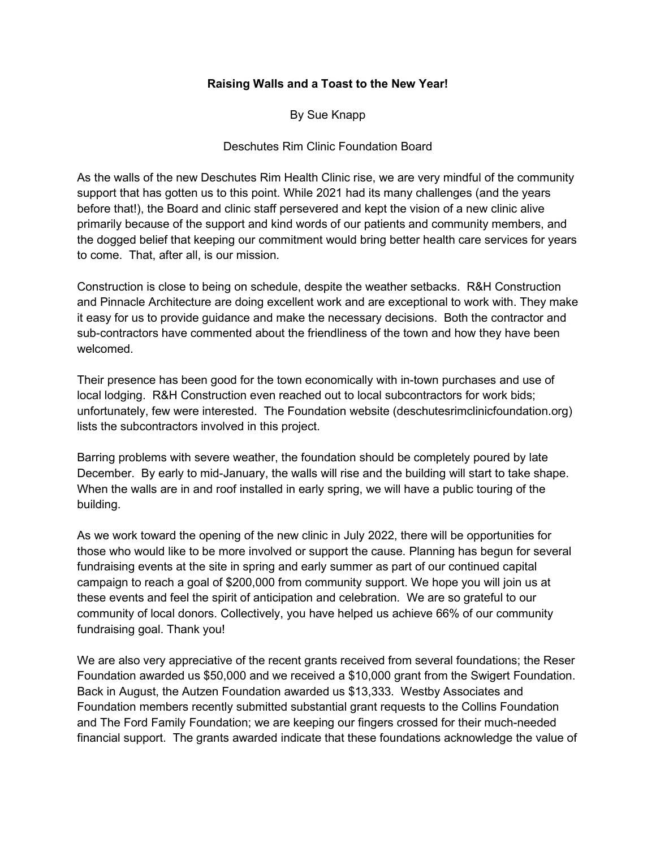## **Raising Walls and a Toast to the New Year!**

By Sue Knapp

## Deschutes Rim Clinic Foundation Board

As the walls of the new Deschutes Rim Health Clinic rise, we are very mindful of the community support that has gotten us to this point. While 2021 had its many challenges (and the years before that!), the Board and clinic staff persevered and kept the vision of a new clinic alive primarily because of the support and kind words of our patients and community members, and the dogged belief that keeping our commitment would bring better health care services for years to come. That, after all, is our mission.

Construction is close to being on schedule, despite the weather setbacks. R&H Construction and Pinnacle Architecture are doing excellent work and are exceptional to work with. They make it easy for us to provide guidance and make the necessary decisions. Both the contractor and sub-contractors have commented about the friendliness of the town and how they have been welcomed.

Their presence has been good for the town economically with in-town purchases and use of local lodging. R&H Construction even reached out to local subcontractors for work bids; unfortunately, few were interested. The Foundation website (deschutesrimclinicfoundation.org) lists the subcontractors involved in this project.

Barring problems with severe weather, the foundation should be completely poured by late December. By early to mid-January, the walls will rise and the building will start to take shape. When the walls are in and roof installed in early spring, we will have a public touring of the building.

As we work toward the opening of the new clinic in July 2022, there will be opportunities for those who would like to be more involved or support the cause. Planning has begun for several fundraising events at the site in spring and early summer as part of our continued capital campaign to reach a goal of \$200,000 from community support. We hope you will join us at these events and feel the spirit of anticipation and celebration. We are so grateful to our community of local donors. Collectively, you have helped us achieve 66% of our community fundraising goal. Thank you!

We are also very appreciative of the recent grants received from several foundations; the Reser Foundation awarded us \$50,000 and we received a \$10,000 grant from the Swigert Foundation. Back in August, the Autzen Foundation awarded us \$13,333. Westby Associates and Foundation members recently submitted substantial grant requests to the Collins Foundation and The Ford Family Foundation; we are keeping our fingers crossed for their much-needed financial support. The grants awarded indicate that these foundations acknowledge the value of